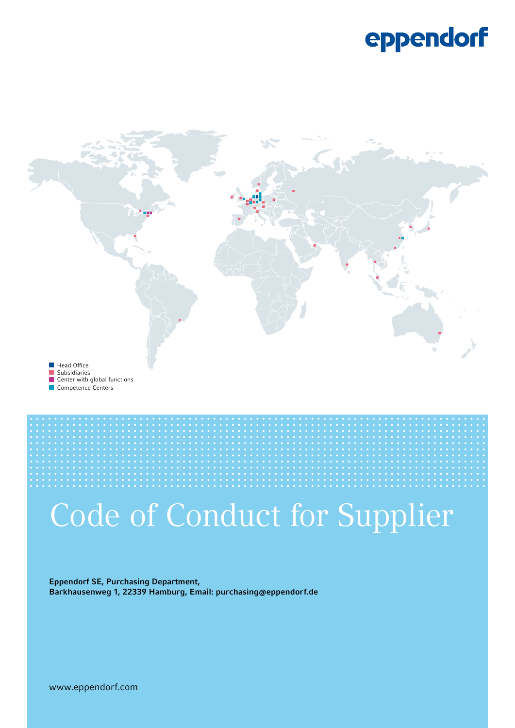### eppendorf



Competence Centers



# Code of Conduct for Supplier

Eppendorf SE, Purchasing Department, Barkhausenweg 1, 22339 Hamburg, Email: purchasing@eppendorf.de

www.eppendorf.com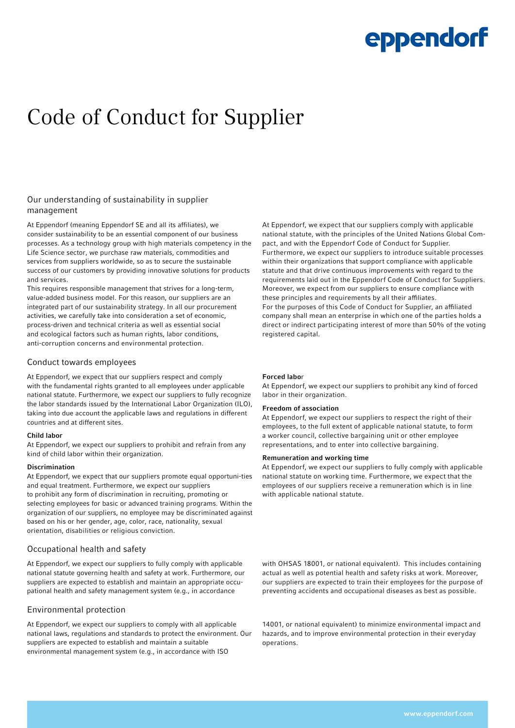### eppendorf

### Code of Conduct for Supplier

#### Our understanding of sustainability in supplier management

At Eppendorf (meaning Eppendorf SE and all its affiliates), we consider sustainability to be an essential component of our business processes. As a technology group with high materials competency in the Life Science sector, we purchase raw materials, commodities and services from suppliers worldwide, so as to secure the sustainable success of our customers by providing innovative solutions for products and services.

This requires responsible management that strives for a long-term, value-added business model. For this reason, our suppliers are an integrated part of our sustainability strategy. In all our procurement activities, we carefully take into consideration a set of economic, process-driven and technical criteria as well as essential social and ecological factors such as human rights, labor conditions, anti-corruption concerns and environmental protection.

#### Conduct towards employees

At Eppendorf, we expect that our suppliers respect and comply with the fundamental rights granted to all employees under applicable national statute. Furthermore, we expect our suppliers to fully recognize the labor standards issued by the International Labor Organization (ILO), taking into due account the applicable laws and regulations in different countries and at different sites.

#### Child labor

At Eppendorf, we expect our suppliers to prohibit and refrain from any kind of child labor within their organization.

#### Discrimination

At Eppendorf, we expect that our suppliers promote equal opportuni-ties and equal treatment. Furthermore, we expect our suppliers to prohibit any form of discrimination in recruiting, promoting or selecting employees for basic or advanced training programs. Within the organization of our suppliers, no employee may be discriminated against based on his or her gender, age, color, race, nationality, sexual orientation, disabilities or religious conviction.

#### Occupational health and safety

At Eppendorf, we expect our suppliers to fully comply with applicable national statute governing health and safety at work. Furthermore, our suppliers are expected to establish and maintain an appropriate occupational health and safety management system (e.g., in accordance

#### Environmental protection

At Eppendorf, we expect our suppliers to comply with all applicable national laws, regulations and standards to protect the environment. Our suppliers are expected to establish and maintain a suitable environmental management system (e.g., in accordance with ISO

At Eppendorf, we expect that our suppliers comply with applicable national statute, with the principles of the United Nations Global Compact, and with the Eppendorf Code of Conduct for Supplier. Furthermore, we expect our suppliers to introduce suitable processes within their organizations that support compliance with applicable statute and that drive continuous improvements with regard to the requirements laid out in the Eppendorf Code of Conduct for Suppliers. Moreover, we expect from our suppliers to ensure compliance with these principles and requirements by all their affiliates. For the purposes of this Code of Conduct for Supplier, an affiliated company shall mean an enterprise in which one of the parties holds a direct or indirect participating interest of more than 50% of the voting registered capital.

#### Forced labor

At Eppendorf, we expect our suppliers to prohibit any kind of forced labor in their organization.

#### Freedom of association

At Eppendorf, we expect our suppliers to respect the right of their employees, to the full extent of applicable national statute, to form a worker council, collective bargaining unit or other employee representations, and to enter into collective bargaining.

#### Remuneration and working time

At Eppendorf, we expect our suppliers to fully comply with applicable national statute on working time. Furthermore, we expect that the employees of our suppliers receive a remuneration which is in line with applicable national statute.

with OHSAS 18001, or national equivalent). This includes containing actual as well as potential health and safety risks at work. Moreover, our suppliers are expected to train their employees for the purpose of preventing accidents and occupational diseases as best as possible.

14001, or national equivalent) to minimize environmental impact and hazards, and to improve environmental protection in their everyday operations.